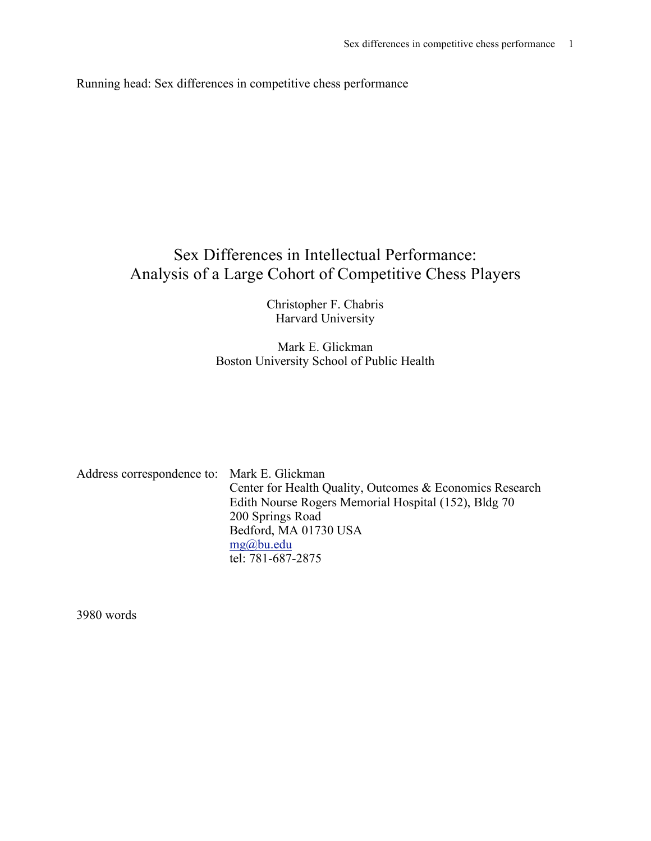Running head: Sex differences in competitive chess performance

# Sex Differences in Intellectual Performance: Analysis of a Large Cohort of Competitive Chess Players

Christopher F. Chabris Harvard University

## Mark E. Glickman Boston University School of Public Health

| Address correspondence to: Mark E. Glickman |                                                          |
|---------------------------------------------|----------------------------------------------------------|
|                                             | Center for Health Quality, Outcomes & Economics Research |
|                                             | Edith Nourse Rogers Memorial Hospital (152), Bldg 70     |
|                                             | 200 Springs Road                                         |
|                                             | Bedford, MA 01730 USA                                    |
|                                             | $mg(a)$ bu.edu                                           |
|                                             | tel: 781-687-2875                                        |

3980 words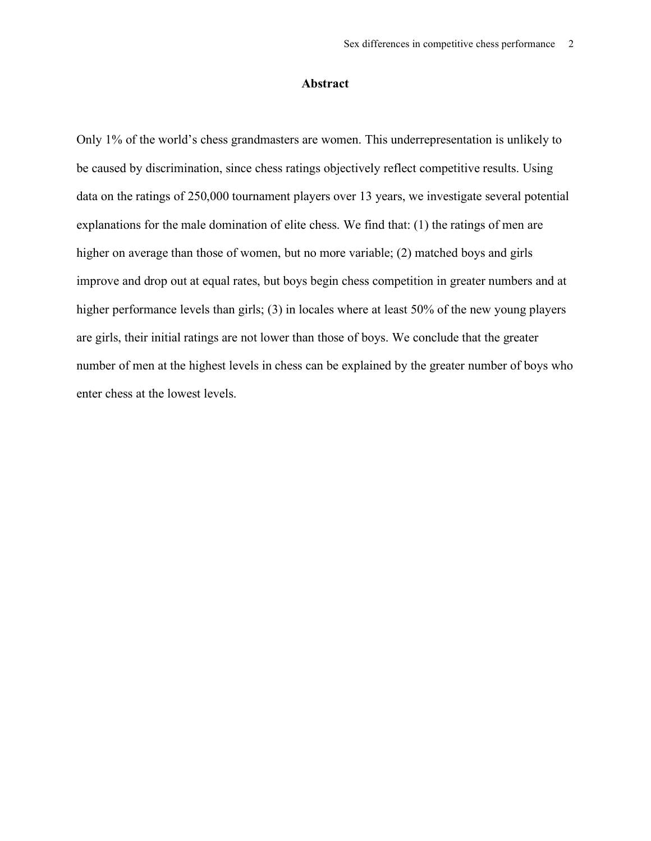## **Abstract**

Only 1% of the world's chess grandmasters are women. This underrepresentation is unlikely to be caused by discrimination, since chess ratings objectively reflect competitive results. Using data on the ratings of 250,000 tournament players over 13 years, we investigate several potential explanations for the male domination of elite chess. We find that: (1) the ratings of men are higher on average than those of women, but no more variable; (2) matched boys and girls improve and drop out at equal rates, but boys begin chess competition in greater numbers and at higher performance levels than girls; (3) in locales where at least 50% of the new young players are girls, their initial ratings are not lower than those of boys. We conclude that the greater number of men at the highest levels in chess can be explained by the greater number of boys who enter chess at the lowest levels.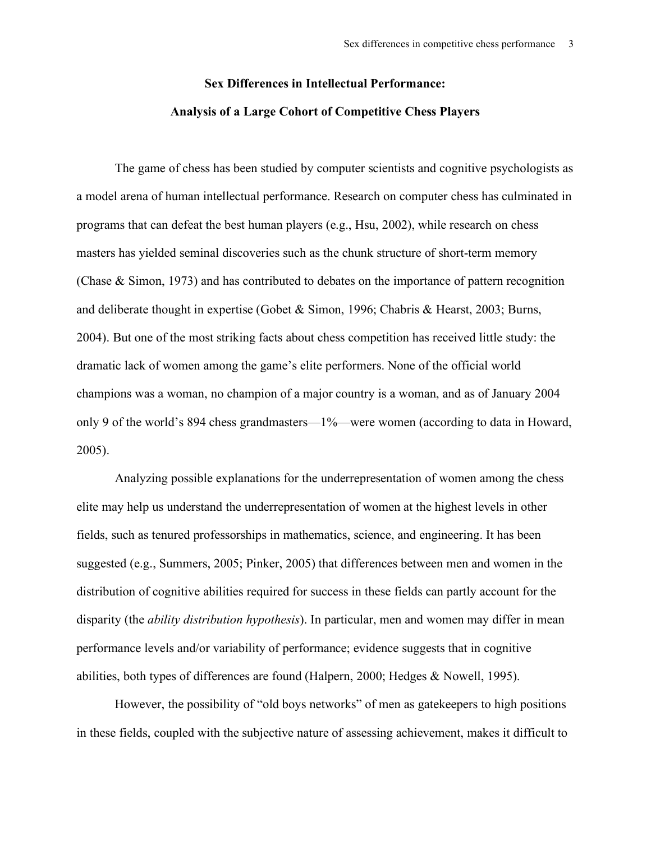# **Sex Differences in Intellectual Performance: Analysis of a Large Cohort of Competitive Chess Players**

The game of chess has been studied by computer scientists and cognitive psychologists as a model arena of human intellectual performance. Research on computer chess has culminated in programs that can defeat the best human players (e.g., Hsu, 2002), while research on chess masters has yielded seminal discoveries such as the chunk structure of short-term memory (Chase & Simon, 1973) and has contributed to debates on the importance of pattern recognition and deliberate thought in expertise (Gobet & Simon, 1996; Chabris & Hearst, 2003; Burns, 2004). But one of the most striking facts about chess competition has received little study: the dramatic lack of women among the game's elite performers. None of the official world champions was a woman, no champion of a major country is a woman, and as of January 2004 only 9 of the world's 894 chess grandmasters—1%—were women (according to data in Howard, 2005).

Analyzing possible explanations for the underrepresentation of women among the chess elite may help us understand the underrepresentation of women at the highest levels in other fields, such as tenured professorships in mathematics, science, and engineering. It has been suggested (e.g., Summers, 2005; Pinker, 2005) that differences between men and women in the distribution of cognitive abilities required for success in these fields can partly account for the disparity (the *ability distribution hypothesis*). In particular, men and women may differ in mean performance levels and/or variability of performance; evidence suggests that in cognitive abilities, both types of differences are found (Halpern, 2000; Hedges & Nowell, 1995).

However, the possibility of "old boys networks" of men as gatekeepers to high positions in these fields, coupled with the subjective nature of assessing achievement, makes it difficult to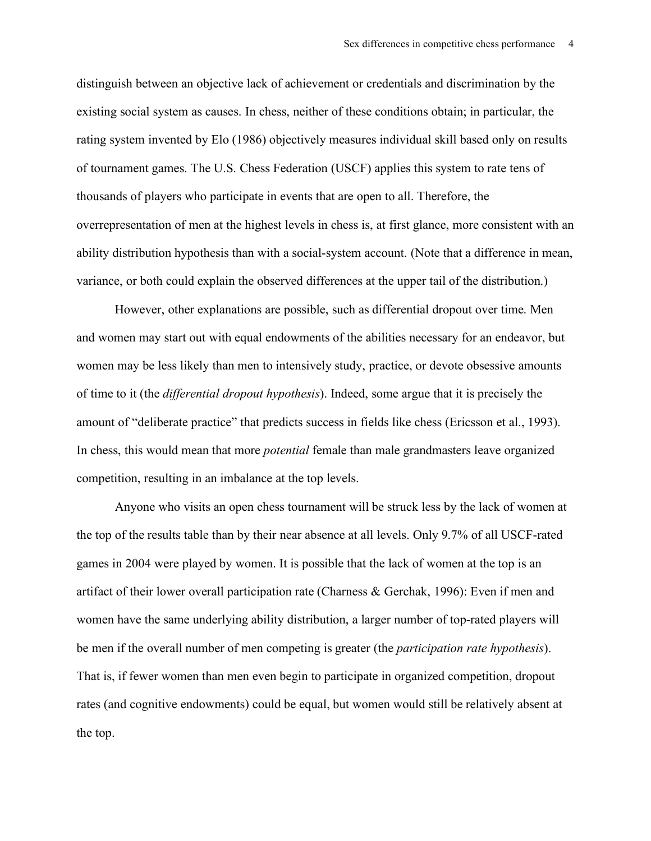distinguish between an objective lack of achievement or credentials and discrimination by the existing social system as causes. In chess, neither of these conditions obtain; in particular, the rating system invented by Elo (1986) objectively measures individual skill based only on results of tournament games. The U.S. Chess Federation (USCF) applies this system to rate tens of thousands of players who participate in events that are open to all. Therefore, the overrepresentation of men at the highest levels in chess is, at first glance, more consistent with an ability distribution hypothesis than with a social-system account. (Note that a difference in mean, variance, or both could explain the observed differences at the upper tail of the distribution.)

However, other explanations are possible, such as differential dropout over time. Men and women may start out with equal endowments of the abilities necessary for an endeavor, but women may be less likely than men to intensively study, practice, or devote obsessive amounts of time to it (the *differential dropout hypothesis*). Indeed, some argue that it is precisely the amount of "deliberate practice" that predicts success in fields like chess (Ericsson et al., 1993). In chess, this would mean that more *potential* female than male grandmasters leave organized competition, resulting in an imbalance at the top levels.

Anyone who visits an open chess tournament will be struck less by the lack of women at the top of the results table than by their near absence at all levels. Only 9.7% of all USCF-rated games in 2004 were played by women. It is possible that the lack of women at the top is an artifact of their lower overall participation rate (Charness & Gerchak, 1996): Even if men and women have the same underlying ability distribution, a larger number of top-rated players will be men if the overall number of men competing is greater (the *participation rate hypothesis*). That is, if fewer women than men even begin to participate in organized competition, dropout rates (and cognitive endowments) could be equal, but women would still be relatively absent at the top.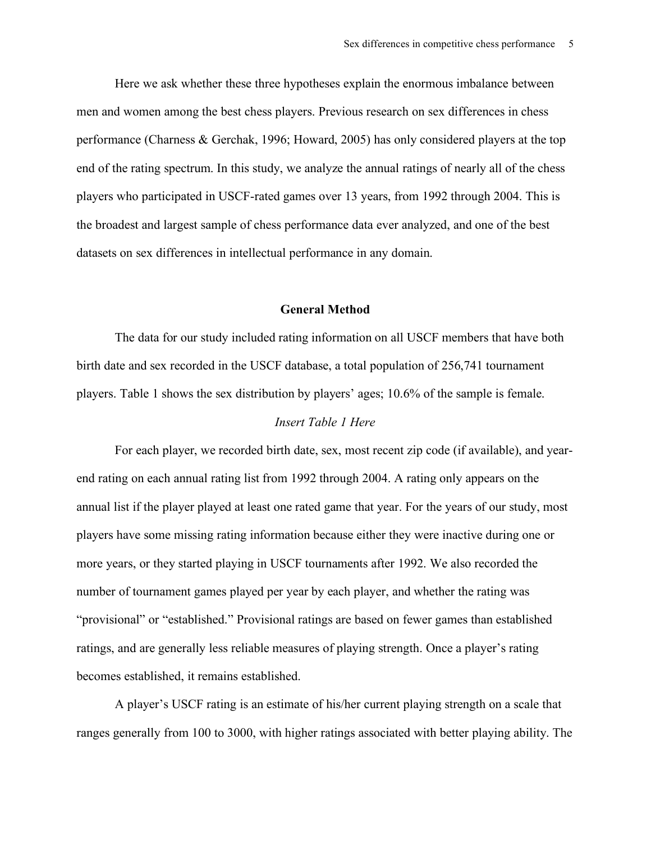Here we ask whether these three hypotheses explain the enormous imbalance between men and women among the best chess players. Previous research on sex differences in chess performance (Charness & Gerchak, 1996; Howard, 2005) has only considered players at the top end of the rating spectrum. In this study, we analyze the annual ratings of nearly all of the chess players who participated in USCF-rated games over 13 years, from 1992 through 2004. This is the broadest and largest sample of chess performance data ever analyzed, and one of the best datasets on sex differences in intellectual performance in any domain.

## **General Method**

The data for our study included rating information on all USCF members that have both birth date and sex recorded in the USCF database, a total population of 256,741 tournament players. Table 1 shows the sex distribution by players' ages; 10.6% of the sample is female.

## *Insert Table 1 Here*

For each player, we recorded birth date, sex, most recent zip code (if available), and yearend rating on each annual rating list from 1992 through 2004. A rating only appears on the annual list if the player played at least one rated game that year. For the years of our study, most players have some missing rating information because either they were inactive during one or more years, or they started playing in USCF tournaments after 1992. We also recorded the number of tournament games played per year by each player, and whether the rating was "provisional" or "established." Provisional ratings are based on fewer games than established ratings, and are generally less reliable measures of playing strength. Once a player's rating becomes established, it remains established.

A player's USCF rating is an estimate of his/her current playing strength on a scale that ranges generally from 100 to 3000, with higher ratings associated with better playing ability. The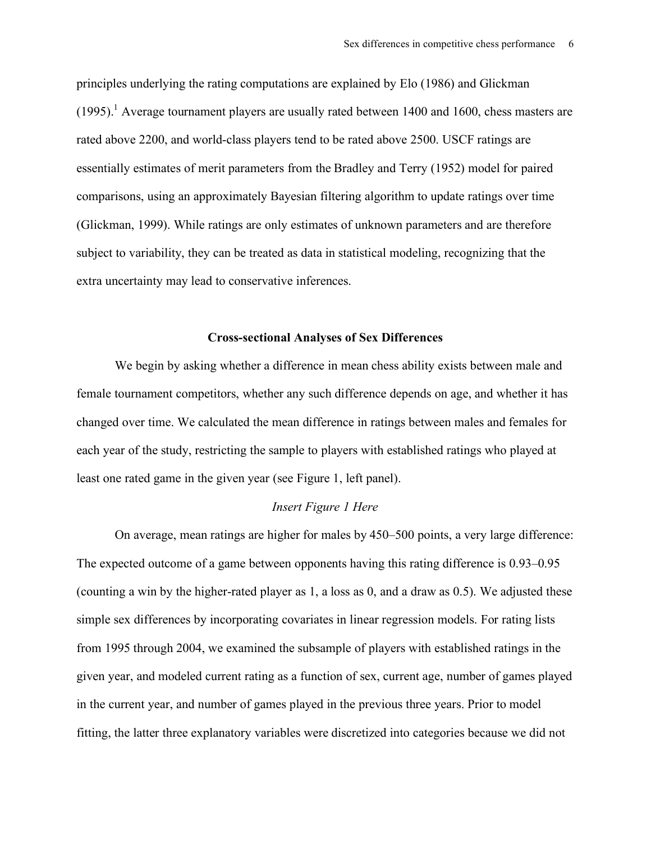principles underlying the rating computations are explained by Elo (1986) and Glickman  $(1995).$ <sup>1</sup> Average tournament players are usually rated between 1400 and 1600, chess masters are rated above 2200, and world-class players tend to be rated above 2500. USCF ratings are essentially estimates of merit parameters from the Bradley and Terry (1952) model for paired comparisons, using an approximately Bayesian filtering algorithm to update ratings over time (Glickman, 1999). While ratings are only estimates of unknown parameters and are therefore subject to variability, they can be treated as data in statistical modeling, recognizing that the extra uncertainty may lead to conservative inferences.

#### **Cross-sectional Analyses of Sex Differences**

We begin by asking whether a difference in mean chess ability exists between male and female tournament competitors, whether any such difference depends on age, and whether it has changed over time. We calculated the mean difference in ratings between males and females for each year of the study, restricting the sample to players with established ratings who played at least one rated game in the given year (see Figure 1, left panel).

#### *Insert Figure 1 Here*

On average, mean ratings are higher for males by 450–500 points, a very large difference: The expected outcome of a game between opponents having this rating difference is 0.93–0.95 (counting a win by the higher-rated player as 1, a loss as 0, and a draw as 0.5). We adjusted these simple sex differences by incorporating covariates in linear regression models. For rating lists from 1995 through 2004, we examined the subsample of players with established ratings in the given year, and modeled current rating as a function of sex, current age, number of games played in the current year, and number of games played in the previous three years. Prior to model fitting, the latter three explanatory variables were discretized into categories because we did not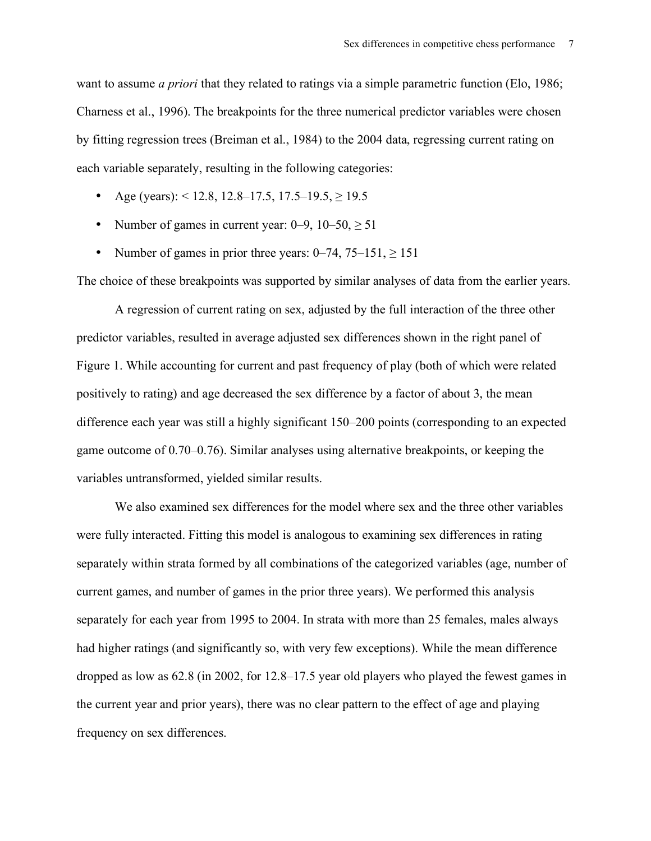want to assume *a priori* that they related to ratings via a simple parametric function (Elo, 1986; Charness et al., 1996). The breakpoints for the three numerical predictor variables were chosen by fitting regression trees (Breiman et al., 1984) to the 2004 data, regressing current rating on each variable separately, resulting in the following categories:

- Age (years):  $< 12.8$ , 12.8–17.5, 17.5–19.5,  $\geq 19.5$
- Number of games in current year:  $0-9$ ,  $10-50$ ,  $\geq 51$
- Number of games in prior three years:  $0-74$ ,  $75-151$ ,  $\geq 151$

The choice of these breakpoints was supported by similar analyses of data from the earlier years.

A regression of current rating on sex, adjusted by the full interaction of the three other predictor variables, resulted in average adjusted sex differences shown in the right panel of Figure 1. While accounting for current and past frequency of play (both of which were related positively to rating) and age decreased the sex difference by a factor of about 3, the mean difference each year was still a highly significant 150–200 points (corresponding to an expected game outcome of 0.70–0.76). Similar analyses using alternative breakpoints, or keeping the variables untransformed, yielded similar results.

We also examined sex differences for the model where sex and the three other variables were fully interacted. Fitting this model is analogous to examining sex differences in rating separately within strata formed by all combinations of the categorized variables (age, number of current games, and number of games in the prior three years). We performed this analysis separately for each year from 1995 to 2004. In strata with more than 25 females, males always had higher ratings (and significantly so, with very few exceptions). While the mean difference dropped as low as 62.8 (in 2002, for 12.8–17.5 year old players who played the fewest games in the current year and prior years), there was no clear pattern to the effect of age and playing frequency on sex differences.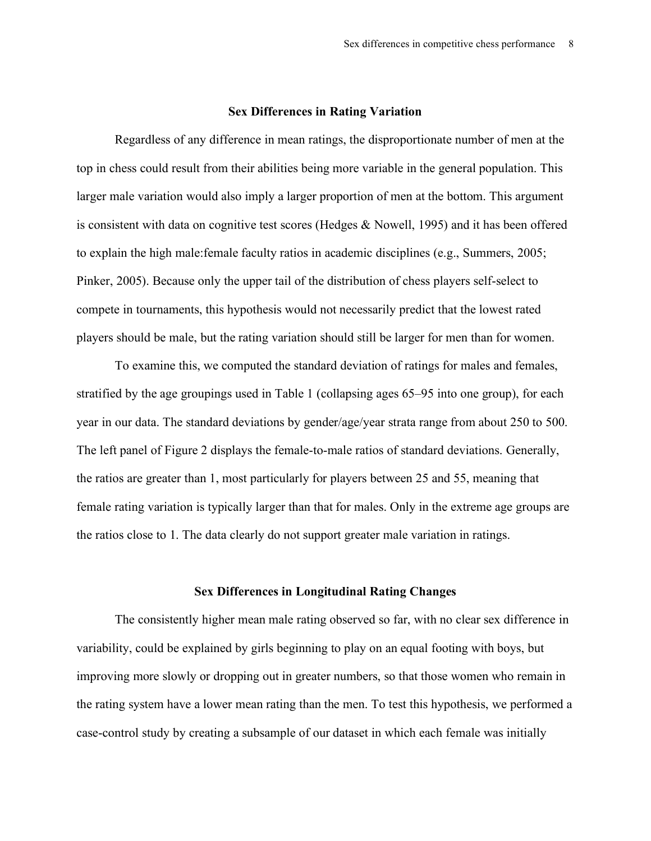#### **Sex Differences in Rating Variation**

Regardless of any difference in mean ratings, the disproportionate number of men at the top in chess could result from their abilities being more variable in the general population. This larger male variation would also imply a larger proportion of men at the bottom. This argument is consistent with data on cognitive test scores (Hedges & Nowell, 1995) and it has been offered to explain the high male:female faculty ratios in academic disciplines (e.g., Summers, 2005; Pinker, 2005). Because only the upper tail of the distribution of chess players self-select to compete in tournaments, this hypothesis would not necessarily predict that the lowest rated players should be male, but the rating variation should still be larger for men than for women.

To examine this, we computed the standard deviation of ratings for males and females, stratified by the age groupings used in Table 1 (collapsing ages 65–95 into one group), for each year in our data. The standard deviations by gender/age/year strata range from about 250 to 500. The left panel of Figure 2 displays the female-to-male ratios of standard deviations. Generally, the ratios are greater than 1, most particularly for players between 25 and 55, meaning that female rating variation is typically larger than that for males. Only in the extreme age groups are the ratios close to 1. The data clearly do not support greater male variation in ratings.

#### **Sex Differences in Longitudinal Rating Changes**

The consistently higher mean male rating observed so far, with no clear sex difference in variability, could be explained by girls beginning to play on an equal footing with boys, but improving more slowly or dropping out in greater numbers, so that those women who remain in the rating system have a lower mean rating than the men. To test this hypothesis, we performed a case-control study by creating a subsample of our dataset in which each female was initially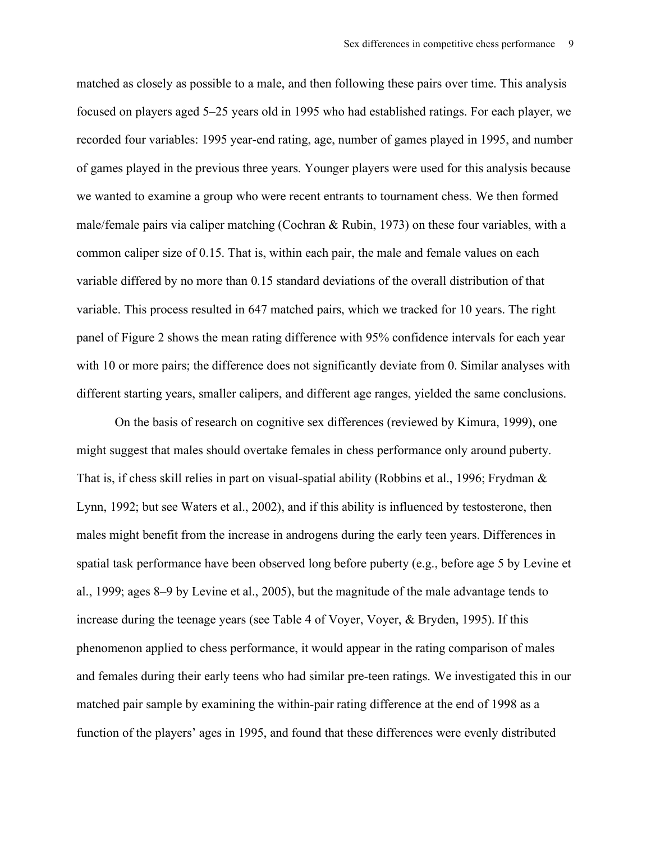matched as closely as possible to a male, and then following these pairs over time. This analysis focused on players aged 5–25 years old in 1995 who had established ratings. For each player, we recorded four variables: 1995 year-end rating, age, number of games played in 1995, and number of games played in the previous three years. Younger players were used for this analysis because we wanted to examine a group who were recent entrants to tournament chess. We then formed male/female pairs via caliper matching (Cochran & Rubin, 1973) on these four variables, with a common caliper size of 0.15. That is, within each pair, the male and female values on each variable differed by no more than 0.15 standard deviations of the overall distribution of that variable. This process resulted in 647 matched pairs, which we tracked for 10 years. The right panel of Figure 2 shows the mean rating difference with 95% confidence intervals for each year with 10 or more pairs; the difference does not significantly deviate from 0. Similar analyses with different starting years, smaller calipers, and different age ranges, yielded the same conclusions.

On the basis of research on cognitive sex differences (reviewed by Kimura, 1999), one might suggest that males should overtake females in chess performance only around puberty. That is, if chess skill relies in part on visual-spatial ability (Robbins et al., 1996; Frydman & Lynn, 1992; but see Waters et al., 2002), and if this ability is influenced by testosterone, then males might benefit from the increase in androgens during the early teen years. Differences in spatial task performance have been observed long before puberty (e.g., before age 5 by Levine et al., 1999; ages 8–9 by Levine et al., 2005), but the magnitude of the male advantage tends to increase during the teenage years (see Table 4 of Voyer, Voyer, & Bryden, 1995). If this phenomenon applied to chess performance, it would appear in the rating comparison of males and females during their early teens who had similar pre-teen ratings. We investigated this in our matched pair sample by examining the within-pair rating difference at the end of 1998 as a function of the players' ages in 1995, and found that these differences were evenly distributed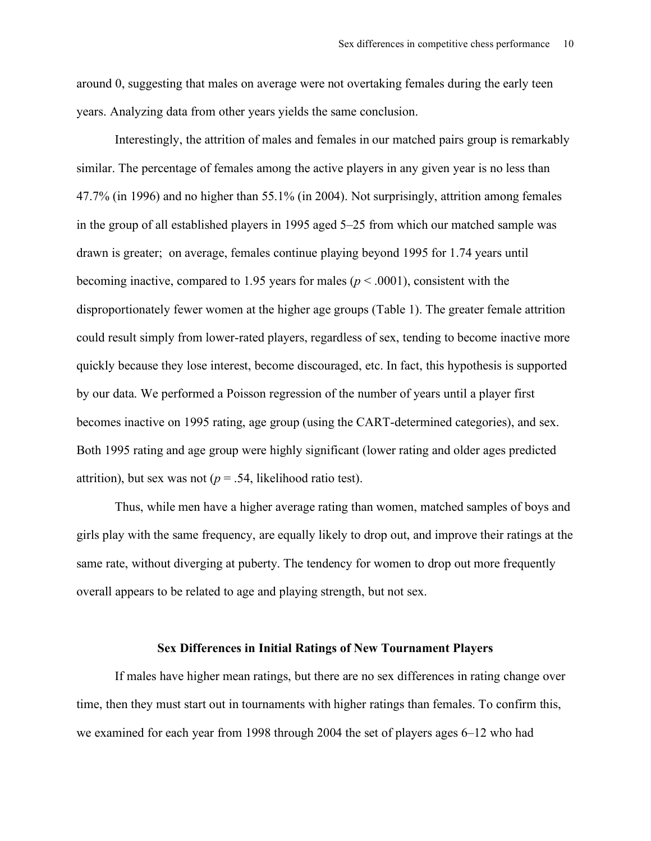around 0, suggesting that males on average were not overtaking females during the early teen years. Analyzing data from other years yields the same conclusion.

Interestingly, the attrition of males and females in our matched pairs group is remarkably similar. The percentage of females among the active players in any given year is no less than 47.7% (in 1996) and no higher than 55.1% (in 2004). Not surprisingly, attrition among females in the group of all established players in 1995 aged 5–25 from which our matched sample was drawn is greater; on average, females continue playing beyond 1995 for 1.74 years until becoming inactive, compared to 1.95 years for males ( $p < .0001$ ), consistent with the disproportionately fewer women at the higher age groups (Table 1). The greater female attrition could result simply from lower-rated players, regardless of sex, tending to become inactive more quickly because they lose interest, become discouraged, etc. In fact, this hypothesis is supported by our data. We performed a Poisson regression of the number of years until a player first becomes inactive on 1995 rating, age group (using the CART-determined categories), and sex. Both 1995 rating and age group were highly significant (lower rating and older ages predicted attrition), but sex was not ( $p = .54$ , likelihood ratio test).

Thus, while men have a higher average rating than women, matched samples of boys and girls play with the same frequency, are equally likely to drop out, and improve their ratings at the same rate, without diverging at puberty. The tendency for women to drop out more frequently overall appears to be related to age and playing strength, but not sex.

### **Sex Differences in Initial Ratings of New Tournament Players**

If males have higher mean ratings, but there are no sex differences in rating change over time, then they must start out in tournaments with higher ratings than females. To confirm this, we examined for each year from 1998 through 2004 the set of players ages 6–12 who had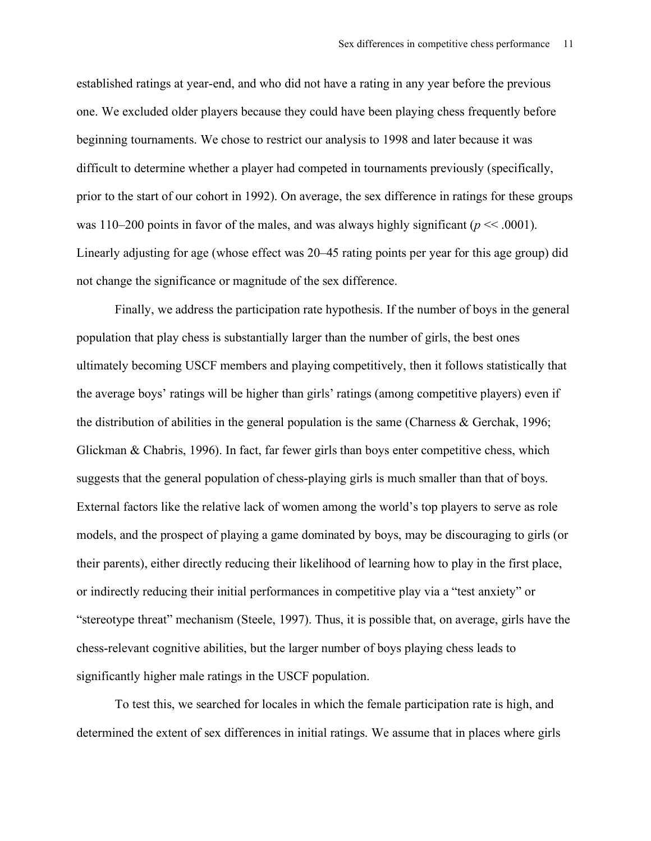established ratings at year-end, and who did not have a rating in any year before the previous one. We excluded older players because they could have been playing chess frequently before beginning tournaments. We chose to restrict our analysis to 1998 and later because it was difficult to determine whether a player had competed in tournaments previously (specifically, prior to the start of our cohort in 1992). On average, the sex difference in ratings for these groups was 110–200 points in favor of the males, and was always highly significant ( $p \ll 0.001$ ). Linearly adjusting for age (whose effect was 20–45 rating points per year for this age group) did not change the significance or magnitude of the sex difference.

Finally, we address the participation rate hypothesis. If the number of boys in the general population that play chess is substantially larger than the number of girls, the best ones ultimately becoming USCF members and playing competitively, then it follows statistically that the average boys' ratings will be higher than girls' ratings (among competitive players) even if the distribution of abilities in the general population is the same (Charness  $\&$  Gerchak, 1996; Glickman & Chabris, 1996). In fact, far fewer girls than boys enter competitive chess, which suggests that the general population of chess-playing girls is much smaller than that of boys. External factors like the relative lack of women among the world's top players to serve as role models, and the prospect of playing a game dominated by boys, may be discouraging to girls (or their parents), either directly reducing their likelihood of learning how to play in the first place, or indirectly reducing their initial performances in competitive play via a "test anxiety" or "stereotype threat" mechanism (Steele, 1997). Thus, it is possible that, on average, girls have the chess-relevant cognitive abilities, but the larger number of boys playing chess leads to significantly higher male ratings in the USCF population.

To test this, we searched for locales in which the female participation rate is high, and determined the extent of sex differences in initial ratings. We assume that in places where girls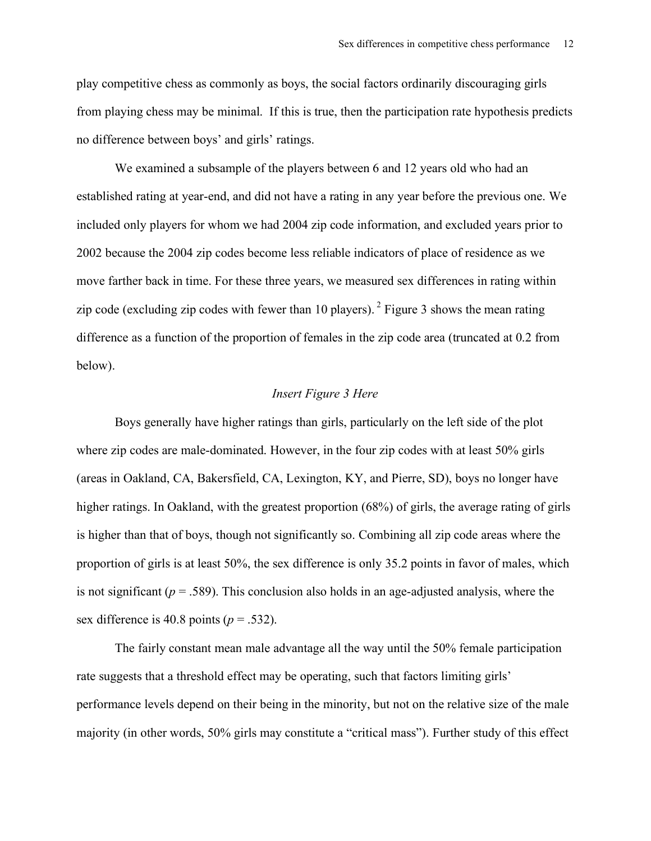play competitive chess as commonly as boys, the social factors ordinarily discouraging girls from playing chess may be minimal. If this is true, then the participation rate hypothesis predicts no difference between boys' and girls' ratings.

We examined a subsample of the players between 6 and 12 years old who had an established rating at year-end, and did not have a rating in any year before the previous one. We included only players for whom we had 2004 zip code information, and excluded years prior to 2002 because the 2004 zip codes become less reliable indicators of place of residence as we move farther back in time. For these three years, we measured sex differences in rating within zip code (excluding zip codes with fewer than 10 players).  $2$  Figure 3 shows the mean rating difference as a function of the proportion of females in the zip code area (truncated at 0.2 from below).

## *Insert Figure 3 Here*

Boys generally have higher ratings than girls, particularly on the left side of the plot where zip codes are male-dominated. However, in the four zip codes with at least 50% girls (areas in Oakland, CA, Bakersfield, CA, Lexington, KY, and Pierre, SD), boys no longer have higher ratings. In Oakland, with the greatest proportion (68%) of girls, the average rating of girls is higher than that of boys, though not significantly so. Combining all zip code areas where the proportion of girls is at least 50%, the sex difference is only 35.2 points in favor of males, which is not significant ( $p = .589$ ). This conclusion also holds in an age-adjusted analysis, where the sex difference is 40.8 points ( $p = .532$ ).

The fairly constant mean male advantage all the way until the 50% female participation rate suggests that a threshold effect may be operating, such that factors limiting girls' performance levels depend on their being in the minority, but not on the relative size of the male majority (in other words, 50% girls may constitute a "critical mass"). Further study of this effect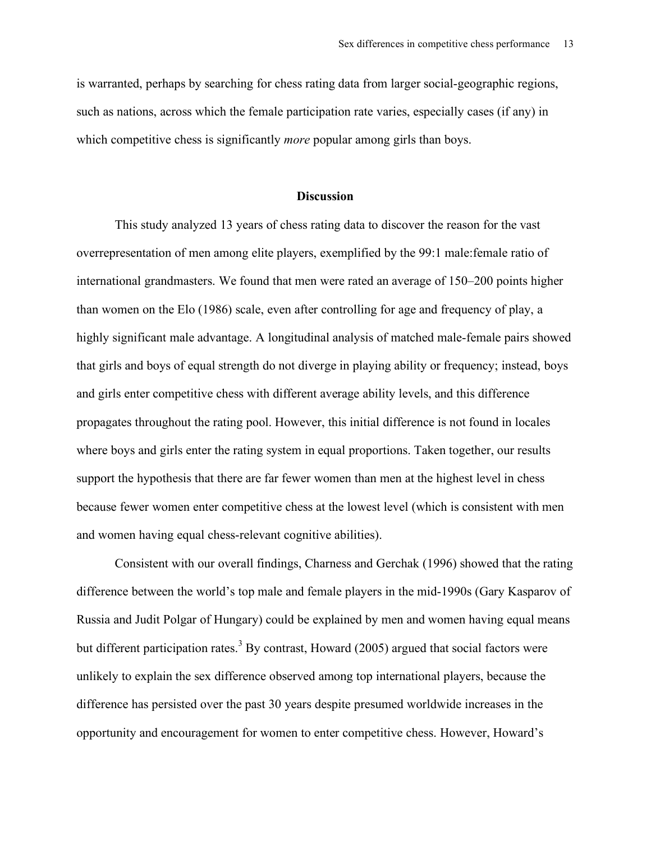is warranted, perhaps by searching for chess rating data from larger social-geographic regions, such as nations, across which the female participation rate varies, especially cases (if any) in which competitive chess is significantly *more* popular among girls than boys.

#### **Discussion**

This study analyzed 13 years of chess rating data to discover the reason for the vast overrepresentation of men among elite players, exemplified by the 99:1 male:female ratio of international grandmasters. We found that men were rated an average of 150–200 points higher than women on the Elo (1986) scale, even after controlling for age and frequency of play, a highly significant male advantage. A longitudinal analysis of matched male-female pairs showed that girls and boys of equal strength do not diverge in playing ability or frequency; instead, boys and girls enter competitive chess with different average ability levels, and this difference propagates throughout the rating pool. However, this initial difference is not found in locales where boys and girls enter the rating system in equal proportions. Taken together, our results support the hypothesis that there are far fewer women than men at the highest level in chess because fewer women enter competitive chess at the lowest level (which is consistent with men and women having equal chess-relevant cognitive abilities).

Consistent with our overall findings, Charness and Gerchak (1996) showed that the rating difference between the world's top male and female players in the mid-1990s (Gary Kasparov of Russia and Judit Polgar of Hungary) could be explained by men and women having equal means but different participation rates.<sup>3</sup> By contrast, Howard (2005) argued that social factors were unlikely to explain the sex difference observed among top international players, because the difference has persisted over the past 30 years despite presumed worldwide increases in the opportunity and encouragement for women to enter competitive chess. However, Howard's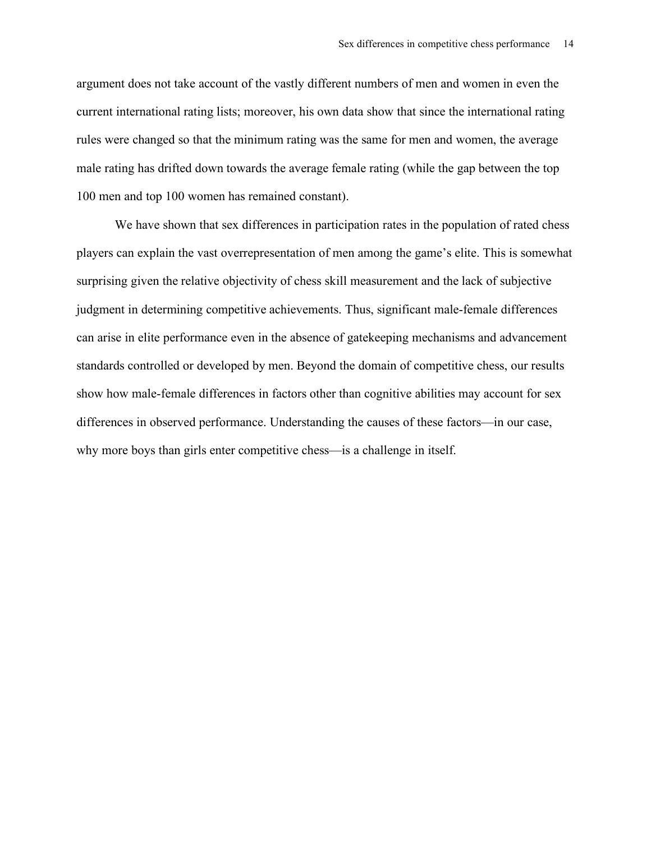argument does not take account of the vastly different numbers of men and women in even the current international rating lists; moreover, his own data show that since the international rating rules were changed so that the minimum rating was the same for men and women, the average male rating has drifted down towards the average female rating (while the gap between the top 100 men and top 100 women has remained constant).

We have shown that sex differences in participation rates in the population of rated chess players can explain the vast overrepresentation of men among the game's elite. This is somewhat surprising given the relative objectivity of chess skill measurement and the lack of subjective judgment in determining competitive achievements. Thus, significant male-female differences can arise in elite performance even in the absence of gatekeeping mechanisms and advancement standards controlled or developed by men. Beyond the domain of competitive chess, our results show how male-female differences in factors other than cognitive abilities may account for sex differences in observed performance. Understanding the causes of these factors—in our case, why more boys than girls enter competitive chess—is a challenge in itself.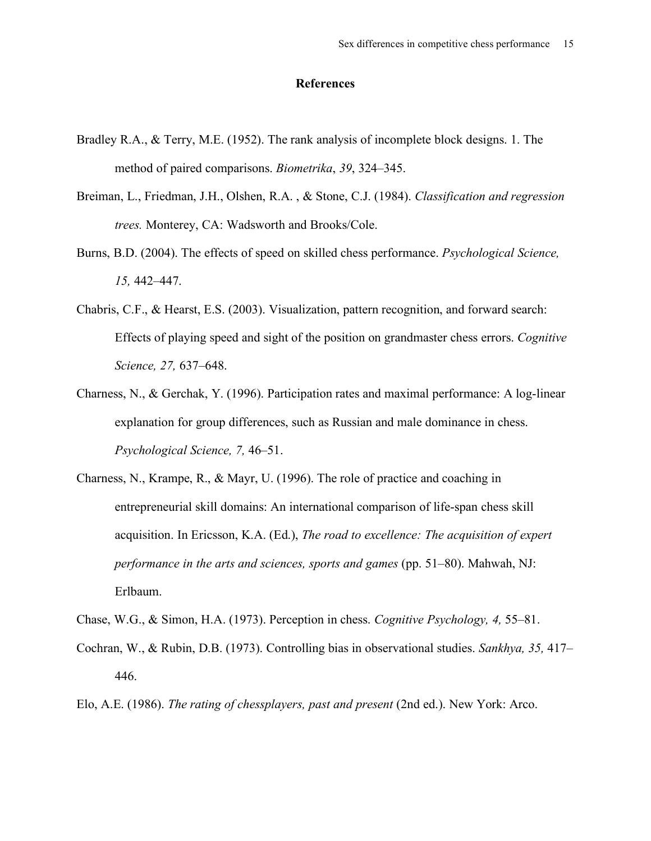## **References**

- Bradley R.A., & Terry, M.E. (1952). The rank analysis of incomplete block designs. 1. The method of paired comparisons. *Biometrika*, *39*, 324–345.
- Breiman, L., Friedman, J.H., Olshen, R.A. , & Stone, C.J. (1984). *Classification and regression trees.* Monterey, CA: Wadsworth and Brooks/Cole.
- Burns, B.D. (2004). The effects of speed on skilled chess performance. *Psychological Science, 15,* 442–447.
- Chabris, C.F., & Hearst, E.S. (2003). Visualization, pattern recognition, and forward search: Effects of playing speed and sight of the position on grandmaster chess errors. *Cognitive Science, 27,* 637–648.
- Charness, N., & Gerchak, Y. (1996). Participation rates and maximal performance: A log-linear explanation for group differences, such as Russian and male dominance in chess. *Psychological Science, 7,* 46–51.
- Charness, N., Krampe, R., & Mayr, U. (1996). The role of practice and coaching in entrepreneurial skill domains: An international comparison of life-span chess skill acquisition. In Ericsson, K.A. (Ed.), *The road to excellence: The acquisition of expert performance in the arts and sciences, sports and games* (pp. 51–80). Mahwah, NJ: Erlbaum.

Chase, W.G., & Simon, H.A. (1973). Perception in chess. *Cognitive Psychology, 4,* 55–81.

- Cochran, W., & Rubin, D.B. (1973). Controlling bias in observational studies. *Sankhya, 35,* 417– 446.
- Elo, A.E. (1986). *The rating of chessplayers, past and present* (2nd ed.). New York: Arco.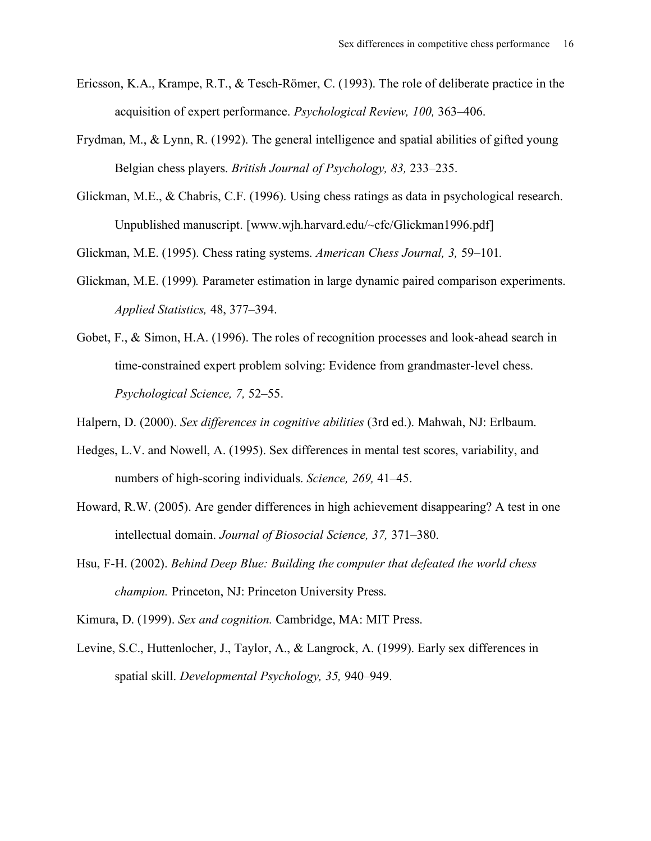- Ericsson, K.A., Krampe, R.T., & Tesch-Römer, C. (1993). The role of deliberate practice in the acquisition of expert performance. *Psychological Review, 100,* 363–406.
- Frydman, M., & Lynn, R. (1992). The general intelligence and spatial abilities of gifted young Belgian chess players. *British Journal of Psychology, 83,* 233–235.
- Glickman, M.E., & Chabris, C.F. (1996). Using chess ratings as data in psychological research. Unpublished manuscript. [www.wjh.harvard.edu/~cfc/Glickman1996.pdf]

Glickman, M.E. (1995). Chess rating systems. *American Chess Journal, 3,* 59–101*.*

- Glickman, M.E. (1999)*.* Parameter estimation in large dynamic paired comparison experiments. *Applied Statistics,* 48, 377–394.
- Gobet, F., & Simon, H.A. (1996). The roles of recognition processes and look-ahead search in time-constrained expert problem solving: Evidence from grandmaster-level chess. *Psychological Science, 7,* 52–55.

Halpern, D. (2000). *Sex differences in cognitive abilities* (3rd ed.). Mahwah, NJ: Erlbaum.

- Hedges, L.V. and Nowell, A. (1995). Sex differences in mental test scores, variability, and numbers of high-scoring individuals. *Science, 269,* 41–45.
- Howard, R.W. (2005). Are gender differences in high achievement disappearing? A test in one intellectual domain. *Journal of Biosocial Science, 37,* 371–380.
- Hsu, F-H. (2002). *Behind Deep Blue: Building the computer that defeated the world chess champion.* Princeton, NJ: Princeton University Press.

Kimura, D. (1999). *Sex and cognition.* Cambridge, MA: MIT Press.

Levine, S.C., Huttenlocher, J., Taylor, A., & Langrock, A. (1999). Early sex differences in spatial skill. *Developmental Psychology, 35,* 940–949.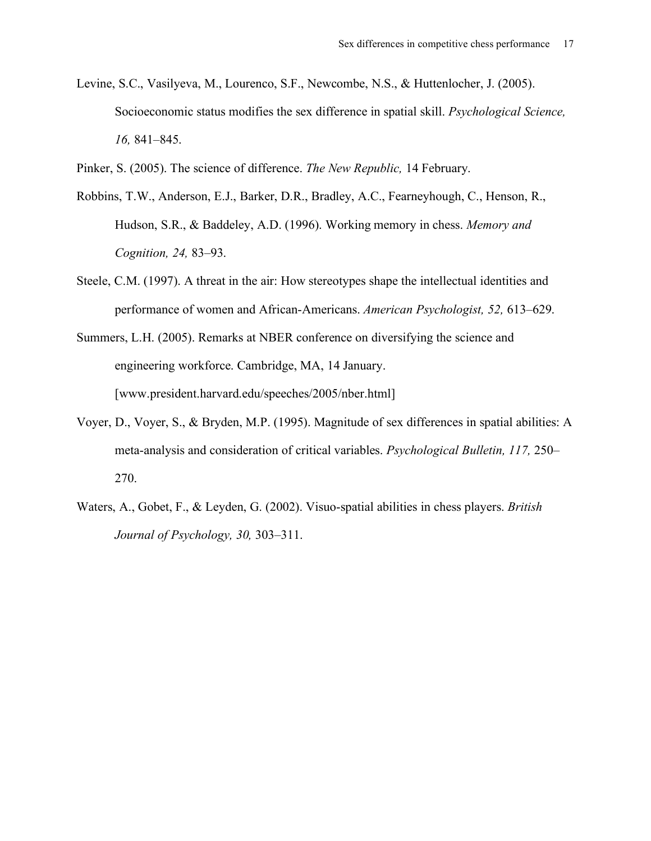- Levine, S.C., Vasilyeva, M., Lourenco, S.F., Newcombe, N.S., & Huttenlocher, J. (2005). Socioeconomic status modifies the sex difference in spatial skill. *Psychological Science, 16,* 841–845.
- Pinker, S. (2005). The science of difference. *The New Republic,* 14 February.
- Robbins, T.W., Anderson, E.J., Barker, D.R., Bradley, A.C., Fearneyhough, C., Henson, R., Hudson, S.R., & Baddeley, A.D. (1996). Working memory in chess. *Memory and Cognition, 24,* 83–93.
- Steele, C.M. (1997). A threat in the air: How stereotypes shape the intellectual identities and performance of women and African-Americans. *American Psychologist, 52,* 613–629.
- Summers, L.H. (2005). Remarks at NBER conference on diversifying the science and engineering workforce. Cambridge, MA, 14 January. [www.president.harvard.edu/speeches/2005/nber.html]
- Voyer, D., Voyer, S., & Bryden, M.P. (1995). Magnitude of sex differences in spatial abilities: A meta-analysis and consideration of critical variables. *Psychological Bulletin, 117,* 250– 270.
- Waters, A., Gobet, F., & Leyden, G. (2002). Visuo-spatial abilities in chess players. *British Journal of Psychology, 30,* 303–311.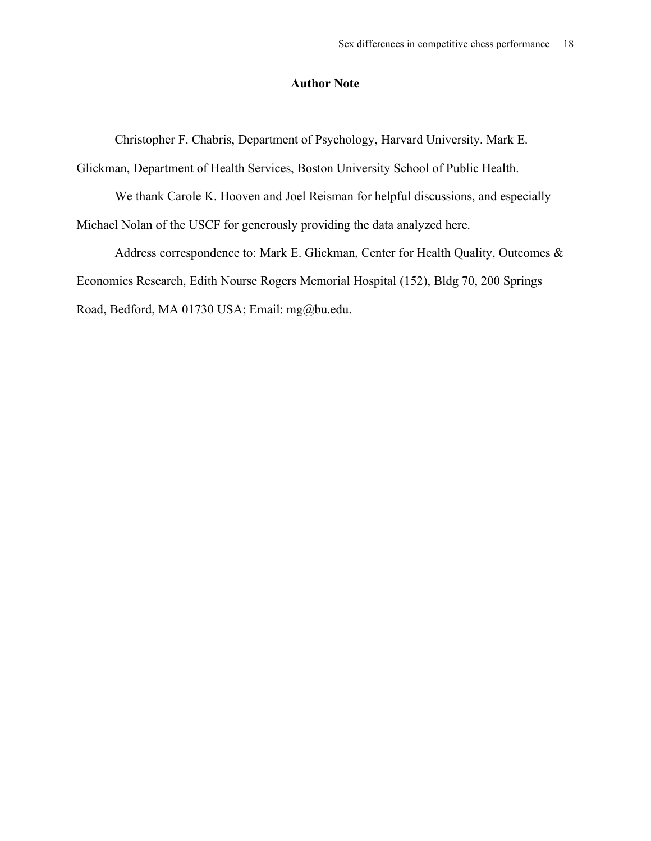## **Author Note**

Christopher F. Chabris, Department of Psychology, Harvard University. Mark E.

Glickman, Department of Health Services, Boston University School of Public Health.

We thank Carole K. Hooven and Joel Reisman for helpful discussions, and especially Michael Nolan of the USCF for generously providing the data analyzed here.

Address correspondence to: Mark E. Glickman, Center for Health Quality, Outcomes & Economics Research, Edith Nourse Rogers Memorial Hospital (152), Bldg 70, 200 Springs Road, Bedford, MA 01730 USA; Email: mg@bu.edu.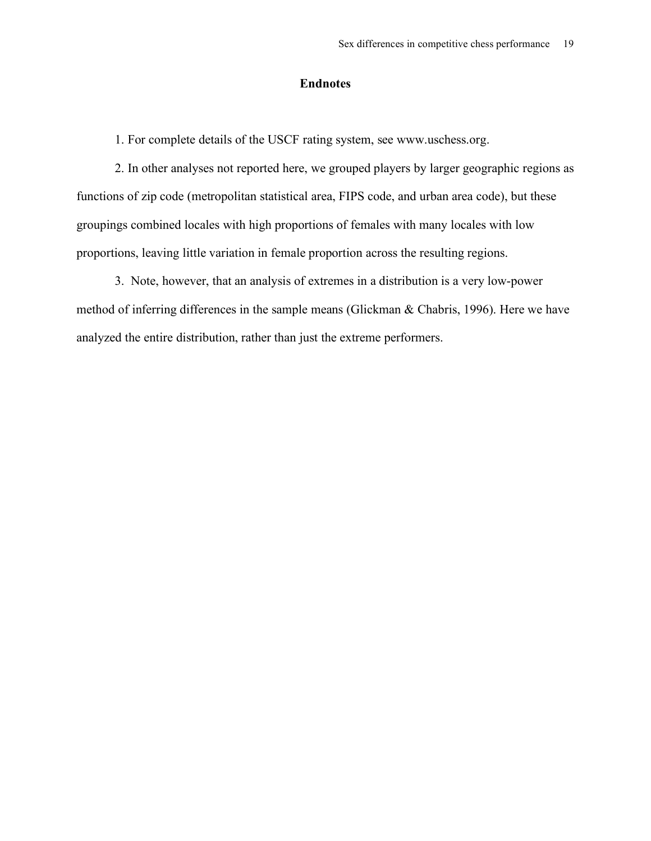## **Endnotes**

1. For complete details of the USCF rating system, see www.uschess.org.

2. In other analyses not reported here, we grouped players by larger geographic regions as functions of zip code (metropolitan statistical area, FIPS code, and urban area code), but these groupings combined locales with high proportions of females with many locales with low proportions, leaving little variation in female proportion across the resulting regions.

3. Note, however, that an analysis of extremes in a distribution is a very low-power method of inferring differences in the sample means (Glickman & Chabris, 1996). Here we have analyzed the entire distribution, rather than just the extreme performers.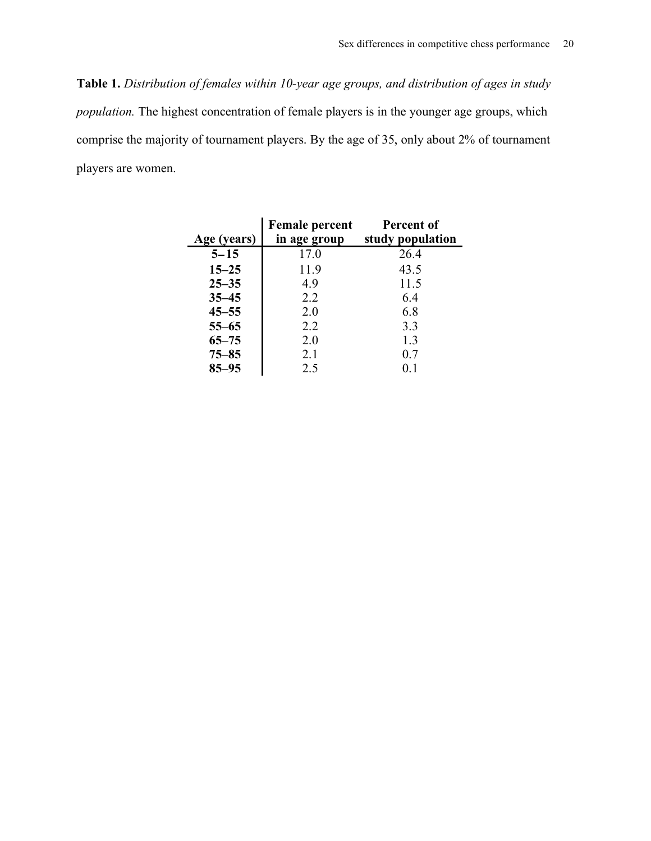**Table 1.** *Distribution of females within 10-year age groups, and distribution of ages in study population.* The highest concentration of female players is in the younger age groups, which comprise the majority of tournament players. By the age of 35, only about 2% of tournament players are women.

| Age (years) | <b>Female percent</b><br>in age group | Percent of<br>study population |
|-------------|---------------------------------------|--------------------------------|
|             |                                       |                                |
| $5 - 15$    | 17.0                                  | 26.4                           |
| $15 - 25$   | 11.9                                  | 43.5                           |
| $25 - 35$   | 4.9                                   | 11.5                           |
| $35 - 45$   | 2.2                                   | 6.4                            |
| $45 - 55$   | 2.0                                   | 6.8                            |
| $55 - 65$   | 2.2                                   | 3.3                            |
| $65 - 75$   | 2.0                                   | 1.3                            |
| $75 - 85$   | 2.1                                   | 0.7                            |
| $85 - 95$   | 2.5                                   | 01                             |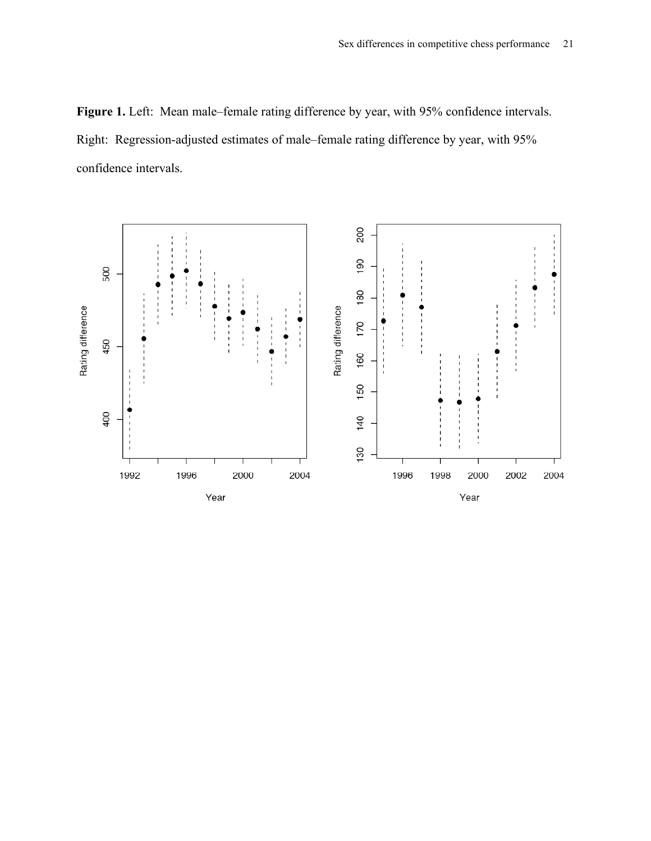**Figure 1.** Left: Mean male–female rating difference by year, with 95% confidence intervals. Right: Regression-adjusted estimates of male–female rating difference by year, with 95% confidence intervals.

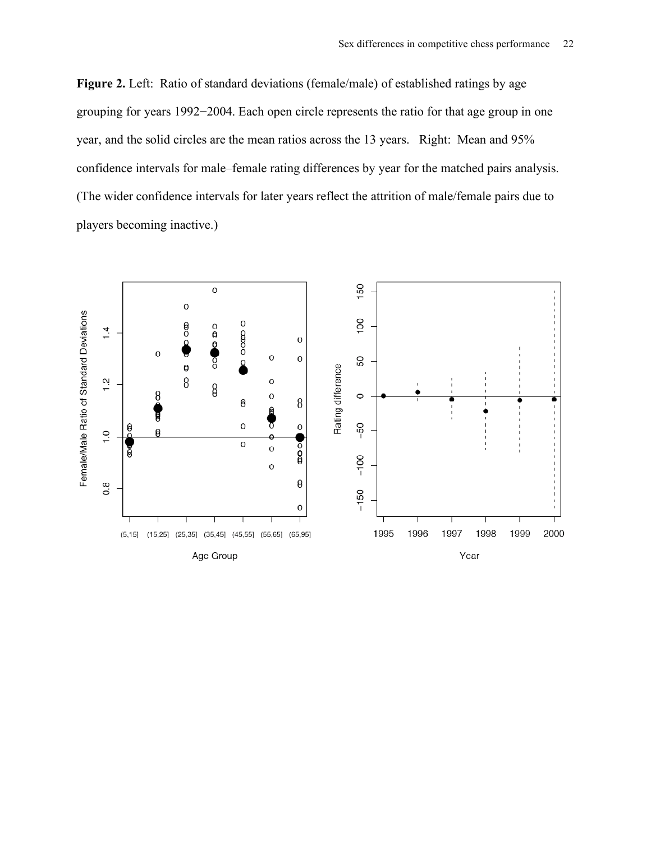**Figure 2.** Left: Ratio of standard deviations (female/male) of established ratings by age grouping for years 1992−2004. Each open circle represents the ratio for that age group in one year, and the solid circles are the mean ratios across the 13 years. Right: Mean and 95% confidence intervals for male–female rating differences by year for the matched pairs analysis. (The wider confidence intervals for later years reflect the attrition of male/female pairs due to players becoming inactive.)